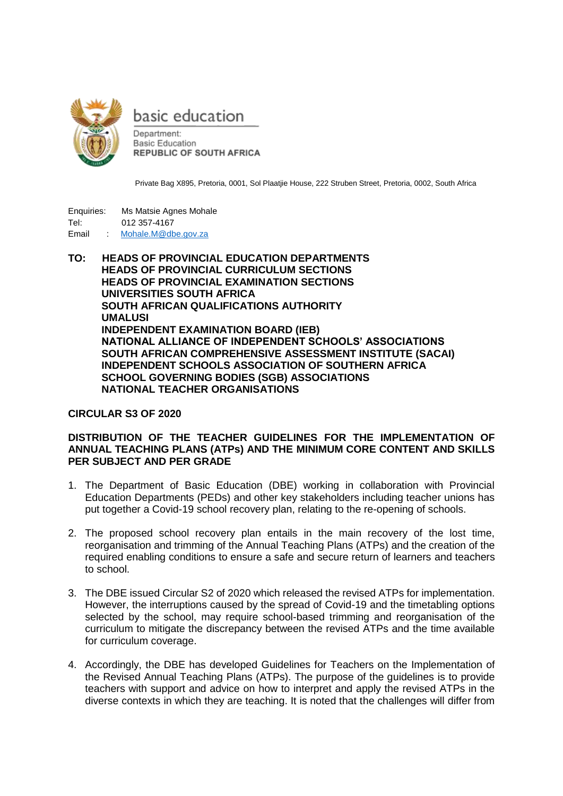

basic education

Department: **Basic Education REPUBLIC OF SOUTH AFRICA** 

Private Bag X895, Pretoria, 0001, Sol Plaatjie House, 222 Struben Street, Pretoria, 0002, South Africa

| Enguiries: |   | Ms Matsie Agnes Mohale |
|------------|---|------------------------|
| Tel:       |   | 012 357-4167           |
| Email      | ÷ | Mohale.M@dbe.gov.za    |

**TO: HEADS OF PROVINCIAL EDUCATION DEPARTMENTS HEADS OF PROVINCIAL CURRICULUM SECTIONS HEADS OF PROVINCIAL EXAMINATION SECTIONS UNIVERSITIES SOUTH AFRICA SOUTH AFRICAN QUALIFICATIONS AUTHORITY UMALUSI INDEPENDENT EXAMINATION BOARD (IEB) NATIONAL ALLIANCE OF INDEPENDENT SCHOOLS' ASSOCIATIONS SOUTH AFRICAN COMPREHENSIVE ASSESSMENT INSTITUTE (SACAI) INDEPENDENT SCHOOLS ASSOCIATION OF SOUTHERN AFRICA SCHOOL GOVERNING BODIES (SGB) ASSOCIATIONS NATIONAL TEACHER ORGANISATIONS**

## **CIRCULAR S3 OF 2020**

## **DISTRIBUTION OF THE TEACHER GUIDELINES FOR THE IMPLEMENTATION OF ANNUAL TEACHING PLANS (ATPs) AND THE MINIMUM CORE CONTENT AND SKILLS PER SUBJECT AND PER GRADE**

- 1. The Department of Basic Education (DBE) working in collaboration with Provincial Education Departments (PEDs) and other key stakeholders including teacher unions has put together a Covid-19 school recovery plan, relating to the re-opening of schools.
- 2. The proposed school recovery plan entails in the main recovery of the lost time, reorganisation and trimming of the Annual Teaching Plans (ATPs) and the creation of the required enabling conditions to ensure a safe and secure return of learners and teachers to school.
- 3. The DBE issued Circular S2 of 2020 which released the revised ATPs for implementation. However, the interruptions caused by the spread of Covid-19 and the timetabling options selected by the school, may require school-based trimming and reorganisation of the curriculum to mitigate the discrepancy between the revised ATPs and the time available for curriculum coverage.
- 4. Accordingly, the DBE has developed Guidelines for Teachers on the Implementation of the Revised Annual Teaching Plans (ATPs). The purpose of the guidelines is to provide teachers with support and advice on how to interpret and apply the revised ATPs in the diverse contexts in which they are teaching. It is noted that the challenges will differ from